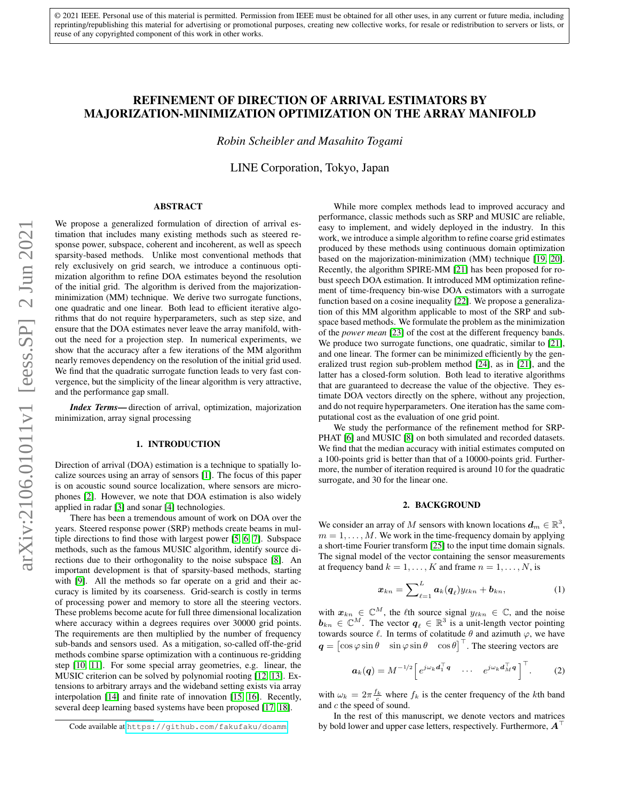# REFINEMENT OF DIRECTION OF ARRIVAL ESTIMATORS BY MAJORIZATION-MINIMIZATION OPTIMIZATION ON THE ARRAY MANIFOLD

*Robin Scheibler and Masahito Togami*

LINE Corporation, Tokyo, Japan

# ABSTRACT

We propose a generalized formulation of direction of arrival estimation that includes many existing methods such as steered response power, subspace, coherent and incoherent, as well as speech sparsity-based methods. Unlike most conventional methods that rely exclusively on grid search, we introduce a continuous optimization algorithm to refine DOA estimates beyond the resolution of the initial grid. The algorithm is derived from the majorizationminimization (MM) technique. We derive two surrogate functions, one quadratic and one linear. Both lead to efficient iterative algorithms that do not require hyperparameters, such as step size, and ensure that the DOA estimates never leave the array manifold, without the need for a projection step. In numerical experiments, we show that the accuracy after a few iterations of the MM algorithm nearly removes dependency on the resolution of the initial grid used. We find that the quadratic surrogate function leads to very fast convergence, but the simplicity of the linear algorithm is very attractive, and the performance gap small.

*Index Terms*— direction of arrival, optimization, majorization minimization, array signal processing

#### 1. INTRODUCTION

Direction of arrival (DOA) estimation is a technique to spatially localize sources using an array of sensors [\[1\]](#page-4-0). The focus of this paper is on acoustic sound source localization, where sensors are microphones [\[2\]](#page-4-1). However, we note that DOA estimation is also widely applied in radar [\[3\]](#page-4-2) and sonar [\[4\]](#page-4-3) technologies.

There has been a tremendous amount of work on DOA over the years. Steered response power (SRP) methods create beams in multiple directions to find those with largest power [\[5,](#page-4-4) [6,](#page-4-5) [7\]](#page-4-6). Subspace methods, such as the famous MUSIC algorithm, identify source directions due to their orthogonality to the noise subspace [\[8\]](#page-4-7). An important development is that of sparsity-based methods, starting with [\[9\]](#page-4-8). All the methods so far operate on a grid and their accuracy is limited by its coarseness. Grid-search is costly in terms of processing power and memory to store all the steering vectors. These problems become acute for full three dimensional localization where accuracy within a degrees requires over 30000 grid points. The requirements are then multiplied by the number of frequency sub-bands and sensors used. As a mitigation, so-called off-the-grid methods combine sparse optimization with a continuous re-gridding step [\[10,](#page-4-9) [11\]](#page-4-10). For some special array geometries, e.g. linear, the MUSIC criterion can be solved by polynomial rooting [\[12,](#page-4-11) [13\]](#page-4-12). Extensions to arbitrary arrays and the wideband setting exists via array interpolation [\[14\]](#page-4-13) and finite rate of innovation [\[15,](#page-4-14) [16\]](#page-4-15). Recently, several deep learning based systems have been proposed [\[17,](#page-4-16) [18\]](#page-4-17).

While more complex methods lead to improved accuracy and performance, classic methods such as SRP and MUSIC are reliable, easy to implement, and widely deployed in the industry. In this work, we introduce a simple algorithm to refine coarse grid estimates produced by these methods using continuous domain optimization based on the majorization-minimization (MM) technique [\[19,](#page-4-18) [20\]](#page-4-19). Recently, the algorithm SPIRE-MM [\[21\]](#page-4-20) has been proposed for robust speech DOA estimation. It introduced MM optimization refinement of time-frequency bin-wise DOA estimators with a surrogate function based on a cosine inequality [\[22\]](#page-4-21). We propose a generalization of this MM algorithm applicable to most of the SRP and subspace based methods. We formulate the problem as the minimization of the *power mean* [\[23\]](#page-4-22) of the cost at the different frequency bands. We produce two surrogate functions, one quadratic, similar to [\[21\]](#page-4-20), and one linear. The former can be minimized efficiently by the generalized trust region sub-problem method [\[24\]](#page-4-23), as in [\[21\]](#page-4-20), and the latter has a closed-form solution. Both lead to iterative algorithms that are guaranteed to decrease the value of the objective. They estimate DOA vectors directly on the sphere, without any projection, and do not require hyperparameters. One iteration has the same computational cost as the evaluation of one grid point.

We study the performance of the refinement method for SRP-PHAT [\[6\]](#page-4-5) and MUSIC [\[8\]](#page-4-7) on both simulated and recorded datasets. We find that the median accuracy with initial estimates computed on a 100-points grid is better than that of a 10000-points grid. Furthermore, the number of iteration required is around 10 for the quadratic surrogate, and 30 for the linear one.

## <span id="page-0-0"></span>2. BACKGROUND

We consider an array of M sensors with known locations  $d_m \in \mathbb{R}^3$ ,  $m = 1, \ldots, M$ . We work in the time-frequency domain by applying a short-time Fourier transform [\[25\]](#page-4-24) to the input time domain signals. The signal model of the vector containing the sensor measurements at frequency band  $k = 1, ..., K$  and frame  $n = 1, ..., N$ , is

$$
\boldsymbol{x}_{kn} = \sum\nolimits_{\ell=1}^{L} \boldsymbol{a}_k(\boldsymbol{q}_{\ell}) \boldsymbol{y}_{\ell kn} + \boldsymbol{b}_{kn}, \tag{1}
$$

with  $x_{kn} \in \mathbb{C}^M$ , the  $\ell$ th source signal  $y_{\ell kn} \in \mathbb{C}$ , and the noise  $\mathbf{b}_{kn} \in \mathbb{C}^M$ . The vector  $\mathbf{q}_{\ell} \in \mathbb{R}^3$  is a unit-length vector pointing towards source  $\ell$ . In terms of colatitude  $\theta$  and azimuth  $\varphi$ , we have  $q = [\cos \varphi \sin \theta \quad \sin \varphi \sin \theta \quad \cos \theta]^\top$ . The steering vectors are

$$
\boldsymbol{a}_{k}(\boldsymbol{q})=M^{-1/2}\left[e^{j\omega_{k}\boldsymbol{d}_{1}^{\top}\boldsymbol{q}}\quad\cdots\quad e^{j\omega_{k}\boldsymbol{d}_{M}^{\top}\boldsymbol{q}}\right]^{\top}.\tag{2}
$$

with  $\omega_k = 2\pi \frac{f_k}{c}$  where  $f_k$  is the center frequency of the kth band and c the speed of sound.

In the rest of this manuscript, we denote vectors and matrices by bold lower and upper case letters, respectively. Furthermore,  $A^{\dagger}$ 

Code available at <https://github.com/fakufaku/doamm>.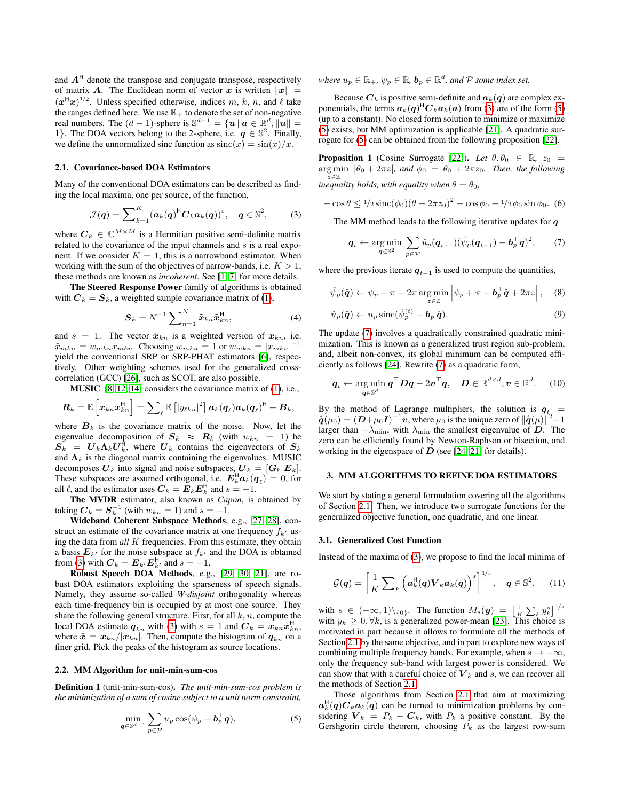and  $A<sup>H</sup>$  denote the transpose and conjugate transpose, respectively of matrix **A**. The Euclidean norm of vector x is written  $||x|| =$  $(x^H x)^{1/2}$ . Unless specified otherwise, indices m, k, n, and  $\ell$  take the ranges defined here. We use  $\mathbb{R}_+$  to denote the set of non-negative real numbers. The  $(d-1)$ -sphere is  $\mathbb{S}^{d-1} = \{u \mid u \in \mathbb{R}^d, ||u|| =$ 1}. The DOA vectors belong to the 2-sphere, i.e.  $q \in \mathbb{S}^2$ . Finally, we define the unnormalized sinc function as  $sinc(x) = sin(x)/x$ .

#### <span id="page-1-3"></span>2.1. Covariance-based DOA Estimators

Many of the conventional DOA estimators can be described as finding the local maxima, one per source, of the function,

$$
\mathcal{J}(q) = \sum_{k=1}^K (\boldsymbol{a}_k(q)^{\mathsf{H}} \boldsymbol{C}_k \boldsymbol{a}_k(q))^s, \quad q \in \mathbb{S}^2,
$$
 (3)

where  $C_k \in \mathbb{C}^{M \times M}$  is a Hermitian positive semi-definite matrix related to the covariance of the input channels and  $s$  is a real exponent. If we consider  $K = 1$ , this is a narrowband estimator. When working with the sum of the objectives of narrow-bands, i.e.  $K > 1$ , these methods are known as *incoherent*. See [\[1,](#page-4-0) [7\]](#page-4-6) for more details.

The Steered Response Power family of algorithms is obtained with  $C_k = S_k$ , a weighted sample covariance matrix of [\(1\)](#page-0-0),

$$
\mathbf{S}_k = N^{-1} \sum\nolimits_{n=1}^{N} \tilde{\boldsymbol{x}}_{kn} \tilde{\boldsymbol{x}}_{kn}^{\mathsf{H}},
$$
\n(4)

and  $s = 1$ . The vector  $\tilde{x}_{kn}$  is a weighted version of  $x_{kn}$ , i.e.  $\tilde{x}_{mkn} = w_{mkn} x_{mkn}$ . Choosing  $w_{mkn} = 1$  or  $w_{mkn} = |x_{mkn}|^{-1}$ yield the conventional SRP or SRP-PHAT estimators [\[6\]](#page-4-5), respectively. Other weighting schemes used for the generalized crosscorrelation (GCC) [\[26\]](#page-4-25), such as SCOT, are also possible.

MUSIC [\[8,](#page-4-7) [12,](#page-4-11) [14\]](#page-4-13) considers the covariance matrix of [\(1\)](#page-0-0), i.e.,

$$
\bm{R}_{k}=\mathbb{E}\left[\bm{x}_{kn}\bm{x}_{kn}^{\mathsf{H}}\right]=\sum\nolimits_{\ell}\mathbb{E}\left[\left|y_{\ell kn}\right|^{2}\right]\bm{a}_{k}(\bm{q}_{\ell})\bm{a}_{k}(\bm{q}_{\ell})^{\mathsf{H}}+\bm{B}_{k},
$$

where  $B_k$  is the covariance matrix of the noise. Now, let the eigenvalue decomposition of  $S_k \approx R_k$  (with  $w_{kn} = 1$ ) be  $S_k = U_k \Lambda_k U_k^{\text{H}}$ , where  $U_k$  contains the eigenvectors of  $S_k$ and  $\Lambda_k$  is the diagonal matrix containing the eigenvalues. MUSIC decomposes  $U_k$  into signal and noise subspaces,  $U_k = [G_k \ E_k]$ . These subspaces are assumed orthogonal, i.e.  $E_k^H a_k(q_\ell) = 0$ , for all  $\ell$ , and the estimator uses  $\mathbf{C}_k = \mathbf{E}_k \mathbf{E}_k^{\mathsf{H}}$  and  $s = -1$ .

The MVDR estimator, also known as *Capon*, is obtained by taking  $C_k = S_k^{-1}$  (with  $w_{kn} = 1$ ) and  $s = -1$ .

Wideband Coherent Subspace Methods, e.g., [\[27,](#page-4-26) [28\]](#page-4-27), construct an estimate of the covariance matrix at one frequency  $f_{k}$  using the data from *all* K frequencies. From this estimate, they obtain a basis  $E_{k'}$  for the noise subspace at  $f_{k'}$  and the DOA is obtained from [\(3\)](#page-1-0) with  $C_k = E_{k'} E_{k'}^{\mathsf{H}}$  and  $s = -1$ .

Robust Speech DOA Methods, e.g., [\[29,](#page-4-28) [30,](#page-4-29) [21\]](#page-4-20), are robust DOA estimators exploiting the sparseness of speech signals. Namely, they assume so-called *W-disjoint* orthogonality whereas each time-frequency bin is occupied by at most one source. They share the following general structure. First, for all  $k, n$ , compute the local DOA estimate  $q_{kn}$  with [\(3\)](#page-1-0) with  $s = 1$  and  $C_k = \tilde{x}_{kn}\tilde{x}_{kn}^{\mathsf{H}}$ , where  $\tilde{x} = x_{kn}/|x_{kn}|$ . Then, compute the histogram of  $q_{kn}$  on a finer grid. Pick the peaks of the histogram as source locations.

#### <span id="page-1-8"></span>2.2. MM Algorithm for unit-min-sum-cos

Definition 1 (unit-min-sum-cos). *The unit-min-sum-cos problem is the minimization of a sum of cosine subject to a unit norm constraint,*

$$
\min_{\mathbf{q}\in\mathbb{S}^{d-1}}\sum_{p\in\mathcal{P}}u_p\cos(\psi_p-\boldsymbol{b}_p^\top\boldsymbol{q}),\tag{5}
$$

where  $u_p \in \mathbb{R}_+$ ,  $\psi_p \in \mathbb{R}$ ,  $\mathbf{b}_p \in \mathbb{R}^d$ , and  $\mathcal P$  *some index set.* 

Because  $C_k$  is positive semi-definite and  $a_k(q)$  are complex exponentials, the terms  $a_k(q)^H C_k a_k(a)$  from [\(3\)](#page-1-0) are of the form [\(5\)](#page-1-1) (up to a constant). No closed form solution to minimize or maximize [\(5\)](#page-1-1) exists, but MM optimization is applicable [\[21\]](#page-4-20). A quadratic surrogate for [\(5\)](#page-1-1) can be obtained from the following proposition [\[22\]](#page-4-21).

<span id="page-1-5"></span>**Proposition 1** (Cosine Surrogate [\[22\]](#page-4-21)). *Let*  $\theta$ ,  $\theta$ <sub>0</sub>  $\in \mathbb{R}$ ,  $z_0$  =  $\arg \min |\theta_0 + 2\pi z|$ , and  $\phi_0 = \theta_0 + 2\pi z_0$ . Then, the following z∈Z *inequality holds, with equality when*  $\theta = \theta_0$ *,* 

<span id="page-1-0"></span> $-\cos\theta \leq \frac{1}{2}\sin\left(\phi_0\right)\left(\theta + 2\pi z_0\right)^2 - \cos\phi_0 - \frac{1}{2}\phi_0\sin\phi_0.$  (6)

The MM method leads to the following iterative updates for  $q$ 

<span id="page-1-7"></span><span id="page-1-6"></span><span id="page-1-2"></span>
$$
\boldsymbol{q}_t \leftarrow \operatorname*{arg\,min}_{\boldsymbol{q} \in \mathbb{S}^2} \sum_{p \in \mathcal{P}} \hat{u}_p(\boldsymbol{q}_{t-1}) (\hat{\psi}_p(\boldsymbol{q}_{t-1}) - \boldsymbol{b}_p^\top \boldsymbol{q})^2, \qquad (7)
$$

where the previous iterate  $q_{t-1}$  is used to compute the quantities,

$$
\hat{\psi}_p(\hat{\boldsymbol{q}}) \leftarrow \psi_p + \pi + 2\pi \arg\min_{z \in \mathbb{Z}} \left| \psi_p + \pi - \boldsymbol{b}_p^\top \hat{\boldsymbol{q}} + 2\pi z \right|, \quad (8)
$$

$$
\hat{u}_p(\hat{\boldsymbol{q}}) \leftarrow u_p \operatorname{sinc}(\hat{\psi}_p^{(t)} - \boldsymbol{b}_p^\top \hat{\boldsymbol{q}}). \tag{9}
$$

The update [\(7\)](#page-1-2) involves a quadratically constrained quadratic minimization. This is known as a generalized trust region sub-problem, and, albeit non-convex, its global minimum can be computed efficiently as follows [\[24\]](#page-4-23). Rewrite [\(7\)](#page-1-2) as a quadratic form,

<span id="page-1-9"></span>
$$
\boldsymbol{q}_t \leftarrow \operatorname*{arg\,min}_{\boldsymbol{q} \in \mathbb{S}^d} \boldsymbol{q}^\top \boldsymbol{D} \boldsymbol{q} - 2 \boldsymbol{v}^\top \boldsymbol{q}, \quad \boldsymbol{D} \in \mathbb{R}^{d \times d}, \boldsymbol{v} \in \mathbb{R}^d. \tag{10}
$$

<span id="page-1-1"></span>By the method of Lagrange multipliers, the solution is  $q_t$  =  $\hat{\boldsymbol{q}}(\mu_0) = (\boldsymbol{D} + \mu_0 \boldsymbol{I})^{-1} \boldsymbol{v}$ , where  $\mu_0$  is the unique zero of  $\|\hat{\boldsymbol{q}}(\mu)\|^2 - 1$ larger than  $-\lambda_{\min}$ , with  $\lambda_{\min}$  the smallest eigenvalue of  $\overrightarrow{D}$ . The zero can be efficiently found by Newton-Raphson or bisection, and working in the eigenspace of  $D$  (see [\[24,](#page-4-23) [21\]](#page-4-20) for details).

#### 3. MM ALGORITHMS TO REFINE DOA ESTIMATORS

We start by stating a general formulation covering all the algorithms of Section [2.1.](#page-1-3) Then, we introduce two surrogate functions for the generalized objective function, one quadratic, and one linear.

#### 3.1. Generalized Cost Function

Instead of the maxima of [\(3\)](#page-1-0), we propose to find the local minima of

<span id="page-1-4"></span>
$$
\mathcal{G}(q) = \left[\frac{1}{K} \sum_{k} \left(\boldsymbol{a}_{k}^{\mathrm{H}}(q) \boldsymbol{V}_{k} \boldsymbol{a}_{k}(q)\right)^{s}\right]^{1/s}, \quad q \in \mathbb{S}^{2}, \quad (11)
$$

with  $s \in (-\infty, 1) \setminus \{0\}$ . The function  $M_s(y) = \left[\frac{1}{K} \sum_k y_k^s\right]^{1/s}$ with  $y_k \geq 0, \forall k$ , is a generalized power-mean [\[23\]](#page-4-22). This choice is motivated in part because it allows to formulate all the methods of Section [2.1](#page-1-3) by the same objective, and in part to explore new ways of combining multiple frequency bands. For example, when  $s \to -\infty$ , only the frequency sub-band with largest power is considered. We can show that with a careful choice of  $V_k$  and s, we can recover all the methods of Section [2.1.](#page-1-3)

Those algorithms from Section [2.1](#page-1-3) that aim at maximizing  $a_k^{\mathsf{H}}(q)C_k a_k(q)$  can be turned to minimization problems by considering  $V_k = P_k - C_k$ , with  $P_k$  a positive constant. By the Gershgorin circle theorem, choosing  $P_k$  as the largest row-sum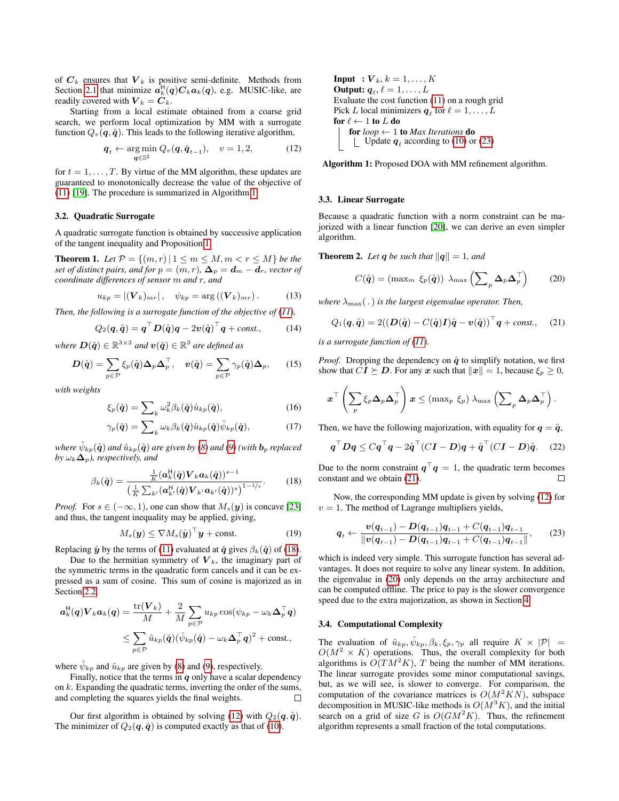of  $C_k$  ensures that  $V_k$  is positive semi-definite. Methods from Section [2.1](#page-1-3) that minimize  $a_k^H(q)C_k a_k(q)$ , e.g. MUSIC-like, are readily covered with  $V_k = C_k$ .

Starting from a local estimate obtained from a coarse grid search, we perform local optimization by MM with a surrogate function  $Q_v(\boldsymbol{q}, \hat{\boldsymbol{q}})$ . This leads to the following iterative algorithm,

$$
\boldsymbol{q}_t \leftarrow \underset{\boldsymbol{q} \in \mathbb{S}^2}{\arg \min} \ Q_v(\boldsymbol{q}, \hat{\boldsymbol{q}}_{t-1}), \quad v = 1, 2,
$$
 (12)

for  $t = 1, \ldots, T$ . By virtue of the MM algorithm, these updates are guaranteed to monotonically decrease the value of the objective of [\(11\)](#page-1-4) [\[19\]](#page-4-18). The procedure is summarized in Algorithm [1.](#page-2-0)

## 3.2. Quadratic Surrogate

A quadratic surrogate function is obtained by successive application of the tangent inequality and Proposition [1.](#page-1-5)

**Theorem 1.** Let  $\mathcal{P} = \{(m, r) | 1 \leq m \leq M, m < r \leq M\}$  be the *set of distinct pairs, and for*  $p = (m, r)$ ,  $\Delta_p = d_m - d_r$ , vector of *coordinate differences of sensor* m *and* r*, and*

$$
u_{kp} = |(\boldsymbol{V}_k)_{mr}|, \quad \psi_{kp} = \arg((\boldsymbol{V}_k)_{mr}). \tag{13}
$$

*Then, the following is a surrogate function of the objective of [\(11\)](#page-1-4),* 

$$
Q_2(\boldsymbol{q},\hat{\boldsymbol{q}}) = \boldsymbol{q}^\top \boldsymbol{D}(\hat{\boldsymbol{q}}) \boldsymbol{q} - 2\boldsymbol{v}(\hat{\boldsymbol{q}})^\top \boldsymbol{q} + const.,\tag{14}
$$

where  $\bm{D}(\hat{\bm{q}}) \in \mathbb{R}^{3 \times 3}$  and  $\bm{v}(\hat{\bm{q}}) \in \mathbb{R}^{3}$  are defined as

$$
\mathbf{D}(\hat{\boldsymbol{q}}) = \sum_{p \in \mathcal{P}} \xi_p(\hat{\boldsymbol{q}}) \mathbf{\Delta}_p \mathbf{\Delta}_p^{\top}, \quad \boldsymbol{v}(\hat{\boldsymbol{q}}) = \sum_{p \in \mathcal{P}} \gamma_p(\hat{\boldsymbol{q}}) \mathbf{\Delta}_p, \qquad (15)
$$

*with weights*

$$
\xi_p(\hat{\boldsymbol{q}}) = \sum_k \omega_k^2 \beta_k(\hat{\boldsymbol{q}}) \hat{u}_{kp}(\hat{\boldsymbol{q}}), \tag{16}
$$

<span id="page-2-1"></span>
$$
\gamma_p(\hat{\boldsymbol{q}}) = \sum\nolimits_k \omega_k \beta_k(\hat{\boldsymbol{q}}) \hat{u}_{kp}(\hat{\boldsymbol{q}}) \hat{\psi}_{kp}(\hat{\boldsymbol{q}}), \tag{17}
$$

 $\omega_{k,p}(\hat{\bm{q}})$  *and*  $\hat{u}_{kp}(\hat{\bm{q}})$  *are given by [\(8\)](#page-1-6) and [\(9\)](#page-1-7) (with*  $\bm{b}_p$  *replaced by*  $\omega_k \Delta_p$ *), respectively, and* 

$$
\beta_k(\hat{\boldsymbol{q}}) = \frac{\frac{1}{K}(\boldsymbol{a}_k^{\mathrm{H}}(\hat{\boldsymbol{q}}) \boldsymbol{V}_k \boldsymbol{a}_k(\hat{\boldsymbol{q}}))^{s-1}}{\left(\frac{1}{K} \sum_{k'} (\boldsymbol{a}_k^{\mathrm{H}}(\hat{\boldsymbol{q}}) \boldsymbol{V}_{k'} \boldsymbol{a}_{k'}(\hat{\boldsymbol{q}}))^{s}\right)^{1-1/s}}.
$$
(18)

*Proof.* For  $s \in (-\infty, 1)$ , one can show that  $M_s(y)$  is concave [\[23\]](#page-4-22) and thus, the tangent inequality may be applied, giving,

$$
M_s(\boldsymbol{y}) \leq \nabla M_s(\hat{\boldsymbol{y}})^{\top} \boldsymbol{y} + \text{const.}
$$
 (19)

Replacing  $\hat{y}$  by the terms of [\(11\)](#page-1-4) evaluated at  $\hat{q}$  gives  $\beta_k(\hat{q})$  of [\(18\)](#page-2-1).

Due to the hermitian symmetry of  $V_k$ , the imaginary part of the symmetric terms in the quadratic form cancels and it can be expressed as a sum of cosine. This sum of cosine is majorized as in Section [2.2,](#page-1-8)

$$
\mathbf{a}_k^{\mathsf{H}}(\mathbf{q})\mathbf{V}_k \mathbf{a}_k(\mathbf{q}) = \frac{\text{tr}(\mathbf{V}_k)}{M} + \frac{2}{M} \sum_{p \in \mathcal{P}} u_{kp} \cos(\psi_{kp} - \omega_k \mathbf{\Delta}_p^{\top} \mathbf{q})
$$
  

$$
\leq \sum_{p \in \mathcal{P}} \hat{u}_{kp}(\hat{\mathbf{q}})(\hat{\psi}_{kp}(\hat{\mathbf{q}}) - \omega_k \mathbf{\Delta}_p^{\top} \mathbf{q})^2 + \text{const.},
$$

where  $\hat{\psi}_{kp}$  and  $\hat{u}_{kp}$  are given by [\(8\)](#page-1-6) and [\(9\)](#page-1-7), respectively.

Finally, notice that the terms in  $q$  only have a scalar dependency on  $k$ . Expanding the quadratic terms, inverting the order of the sums, and completing the squares yields the final weights.  $\Box$ 

Our first algorithm is obtained by solving [\(12\)](#page-2-2) with  $Q_2(\boldsymbol{q}, \hat{\boldsymbol{q}})$ . The minimizer of  $Q_2(q, \hat{q})$  is computed exactly as that of [\(10\)](#page-1-9).

**Input** :  $V_k$ ,  $k = 1, \ldots, K$ Output:  $q_\ell, \ell = 1, \ldots, L$ Evaluate the cost function [\(11\)](#page-1-4) on a rough grid Pick L local minimizers  $\boldsymbol{q}_{\ell}$  for  $\ell = 1, \ldots, L$ for  $\ell \leftarrow 1$  to  $L$  do for  $loop \leftarrow 1$  to *Max Iterations* do Update  $q_\ell$  according to [\(10\)](#page-1-9) or [\(23\)](#page-2-3)

<span id="page-2-2"></span><span id="page-2-0"></span>Algorithm 1: Proposed DOA with MM refinement algorithm.

#### 3.3. Linear Surrogate

Because a quadratic function with a norm constraint can be majorized with a linear function [\[20\]](#page-4-19), we can derive an even simpler algorithm.

**Theorem 2.** Let **q** be such that  $||q|| = 1$ , and

<span id="page-2-5"></span><span id="page-2-4"></span>
$$
C(\hat{\boldsymbol{q}}) = (\max_{m} \xi_p(\hat{\boldsymbol{q}})) \lambda_{\max} \left( \sum_{p} \Delta_p \Delta_p^{\top} \right) \qquad (20)
$$

*where*  $\lambda_{\text{max}}(.)$  *is the largest eigenvalue operator. Then,* 

$$
Q_1(\boldsymbol{q},\hat{\boldsymbol{q}}) = 2((\boldsymbol{D}(\hat{\boldsymbol{q}})-C(\hat{\boldsymbol{q}})\boldsymbol{I})\hat{\boldsymbol{q}}-\boldsymbol{v}(\hat{\boldsymbol{q}}))^{\top}\boldsymbol{q} + const., \quad (21)
$$

*is a surrogate function of [\(11\)](#page-1-4).*

*Proof.* Dropping the dependency on  $\hat{q}$  to simplify notation, we first show that  $CI \succeq D$ . For any x such that  $||x|| = 1$ , because  $\xi_p \geq 0$ ,

$$
\boldsymbol{x}^{\top}\left(\sum_{p}\xi_{p}\boldsymbol{\Delta}_{p}\boldsymbol{\Delta}_{p}^{\top}\right)\boldsymbol{x}\leq\left(\max _{p}\ \xi_{p}\right) \lambda_{\max}\left(\sum_{p}\boldsymbol{\Delta}_{p}\boldsymbol{\Delta}_{p}^{\top}\right).
$$

Then, we have the following majorization, with equality for  $q = \hat{q}$ ,

$$
\boldsymbol{q}^\top \boldsymbol{D} \boldsymbol{q} \leq C \boldsymbol{q}^\top \boldsymbol{q} - 2 \hat{\boldsymbol{q}}^\top (C \boldsymbol{I} - \boldsymbol{D}) \boldsymbol{q} + \hat{\boldsymbol{q}}^\top (C \boldsymbol{I} - \boldsymbol{D}) \hat{\boldsymbol{q}}. \tag{22}
$$

Due to the norm constraint  $q^{\top}q = 1$ , the quadratic term becomes constant and we obtain [\(21\)](#page-2-4).  $\Box$ 

Now, the corresponding MM update is given by solving [\(12\)](#page-2-2) for  $v = 1$ . The method of Lagrange multipliers yields,

<span id="page-2-3"></span>
$$
q_{t} \leftarrow \frac{v(q_{t-1}) - D(q_{t-1})q_{t-1} + C(q_{t-1})q_{t-1}}{\|v(q_{t-1}) - D(q_{t-1})q_{t-1} + C(q_{t-1})q_{t-1}\|},\qquad(23)
$$

which is indeed very simple. This surrogate function has several advantages. It does not require to solve any linear system. In addition, the eigenvalue in [\(20\)](#page-2-5) only depends on the array architecture and can be computed offline. The price to pay is the slower convergence speed due to the extra majorization, as shown in Section [4.](#page-3-0)

#### 3.4. Computational Complexity

The evaluation of  $\hat{u}_{kp}, \hat{\psi}_{kp}, \beta_k, \xi_p, \gamma_p$  all require  $K \times |\mathcal{P}| =$  $O(M^2 \times K)$  operations. Thus, the overall complexity for both algorithms is  $O(TM^2K)$ , T being the number of MM iterations. The linear surrogate provides some minor computational savings, but, as we will see, is slower to converge. For comparison, the computation of the covariance matrices is  $O(M^2KN)$ , subspace decomposition in MUSIC-like methods is  $O(M^3K)$ , and the initial search on a grid of size G is  $O(GM^2K)$ . Thus, the refinement algorithm represents a small fraction of the total computations.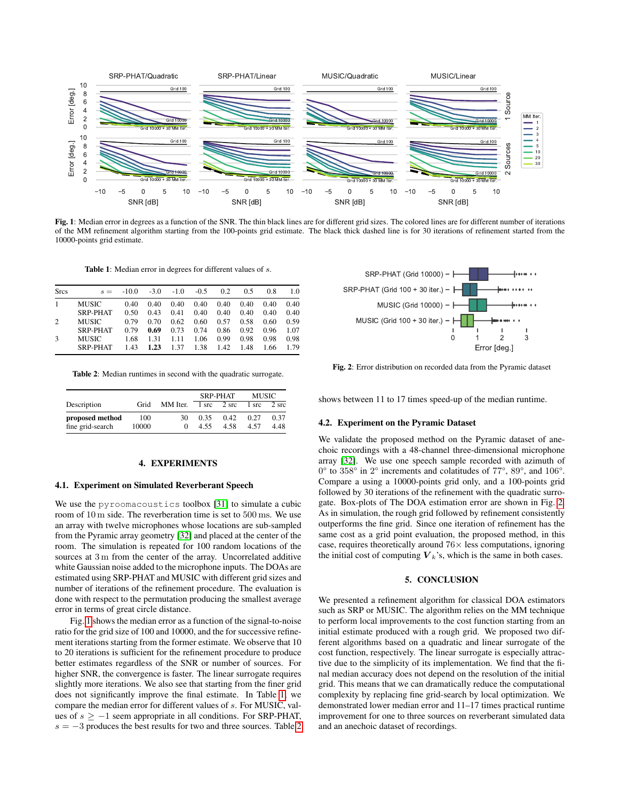<span id="page-3-1"></span>

Fig. 1: Median error in degrees as a function of the SNR. The thin black lines are for different grid sizes. The colored lines are for different number of iterations of the MM refinement algorithm starting from the 100-points grid estimate. The black thick dashed line is for 30 iterations of refinement started from the 10000-points grid estimate.

Table 1: Median error in degrees for different values of s.

<span id="page-3-2"></span>

| <b>Srcs</b>   | $s =$                    | $-10.0$      | $-3.0$       | $-1.0$       | $-0.5$       | 0.2          | 0.5          | 0.8          | 1.0          |
|---------------|--------------------------|--------------|--------------|--------------|--------------|--------------|--------------|--------------|--------------|
|               | <b>MUSIC</b>             | 0.40         | 0.40         | 0.40         | 0.40         | 0.40         | 0.40         | 0.40         | 0.40         |
|               | SRP-PHAT                 | 0.50         | 0.43         | 0.41         | 0.40         | 0.40         | 0.40         | 0.40         | 0.40         |
| 2             | <b>MUSIC</b>             | 0.79         | 0.70         | 0.62         | 0.60         | 0.57         | 0.58         | 0.60         | 0.59         |
|               | SRP-PHAT                 | 0.79         | 0.69         | 0.73         | 0.74         | 0.86         | 0.92         | 0.96         | 1.07         |
| $\mathcal{R}$ | <b>MUSIC</b><br>SRP-PHAT | 1.68<br>1.43 | 1.31<br>1.23 | 1.11<br>1.37 | 1.06<br>1.38 | 0.99<br>1.42 | 0.98<br>1.48 | 0.98<br>1.66 | 0.98<br>1.79 |

<span id="page-3-3"></span>Table 2: Median runtimes in second with the quadratic surrogate.

|                  |       |          | <b>SRP-PHAT</b> |       | <b>MUSIC</b> |       |
|------------------|-------|----------|-----------------|-------|--------------|-------|
| Description      | Grid  | MM Iter. | 1 src           | 2 src | 1 src        | 2 src |
| proposed method  | 100   | 30       | 0.35            | 0.42  | 0.27         | 0.37  |
| fine grid-search | 10000 |          | 4.55            | 4.58  | 4.57         | 4.48  |

#### 4. EXPERIMENTS

#### <span id="page-3-0"></span>4.1. Experiment on Simulated Reverberant Speech

We use the pyroomacoustics toolbox [\[31\]](#page-4-30) to simulate a cubic room of 10 m side. The reverberation time is set to 500 ms. We use an array with twelve microphones whose locations are sub-sampled from the Pyramic array geometry [\[32\]](#page-4-31) and placed at the center of the room. The simulation is repeated for 100 random locations of the sources at 3 m from the center of the array. Uncorrelated additive white Gaussian noise added to the microphone inputs. The DOAs are estimated using SRP-PHAT and MUSIC with different grid sizes and number of iterations of the refinement procedure. The evaluation is done with respect to the permutation producing the smallest average error in terms of great circle distance.

Fig. [1](#page-3-1) shows the median error as a function of the signal-to-noise ratio for the grid size of 100 and 10000, and the for successive refinement iterations starting from the former estimate. We observe that 10 to 20 iterations is sufficient for the refinement procedure to produce better estimates regardless of the SNR or number of sources. For higher SNR, the convergence is faster. The linear surrogate requires slightly more iterations. We also see that starting from the finer grid does not significantly improve the final estimate. In Table [1,](#page-3-2) we compare the median error for different values of s. For MUSIC, values of  $s \ge -1$  seem appropriate in all conditions. For SRP-PHAT,  $s = -3$  produces the best results for two and three sources. Table [2](#page-3-3)

<span id="page-3-4"></span>

Fig. 2: Error distribution on recorded data from the Pyramic dataset

shows between 11 to 17 times speed-up of the median runtime.

## 4.2. Experiment on the Pyramic Dataset

We validate the proposed method on the Pyramic dataset of anechoic recordings with a 48-channel three-dimensional microphone array [\[32\]](#page-4-31). We use one speech sample recorded with azimuth of 0° to 358° in 2° increments and colatitudes of 77°, 89°, and 106°. Compare a using a 10000-points grid only, and a 100-points grid followed by 30 iterations of the refinement with the quadratic surrogate. Box-plots of The DOA estimation error are shown in Fig. [2.](#page-3-4) As in simulation, the rough grid followed by refinement consistently outperforms the fine grid. Since one iteration of refinement has the same cost as a grid point evaluation, the proposed method, in this case, requires theoretically around  $76\times$  less computations, ignoring the initial cost of computing  $V_k$ 's, which is the same in both cases.

## 5. CONCLUSION

We presented a refinement algorithm for classical DOA estimators such as SRP or MUSIC. The algorithm relies on the MM technique to perform local improvements to the cost function starting from an initial estimate produced with a rough grid. We proposed two different algorithms based on a quadratic and linear surrogate of the cost function, respectively. The linear surrogate is especially attractive due to the simplicity of its implementation. We find that the final median accuracy does not depend on the resolution of the initial grid. This means that we can dramatically reduce the computational complexity by replacing fine grid-search by local optimization. We demonstrated lower median error and 11–17 times practical runtime improvement for one to three sources on reverberant simulated data and an anechoic dataset of recordings.